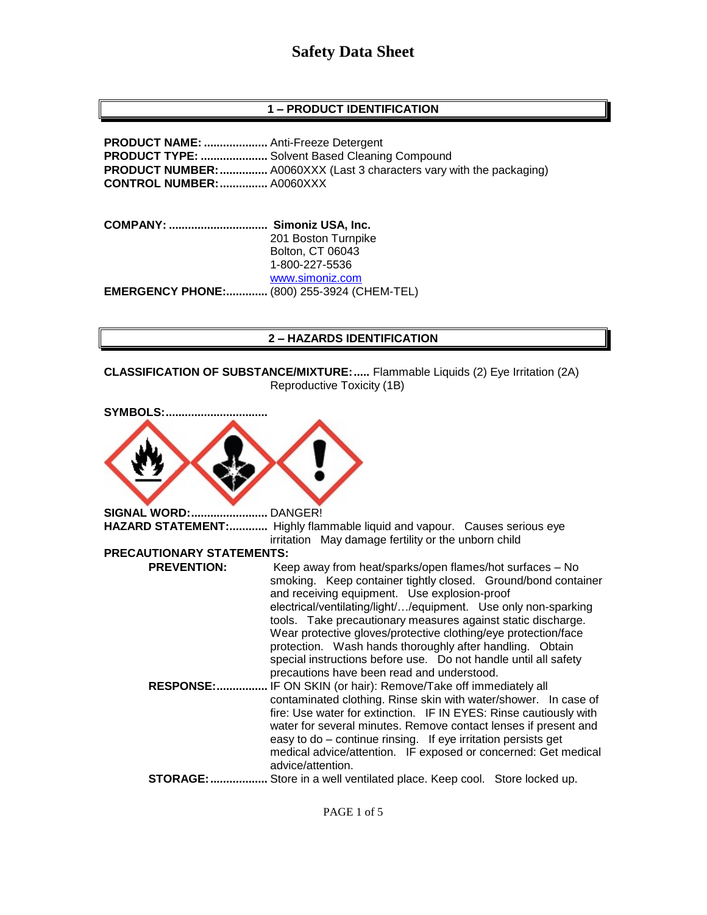## **1 – PRODUCT IDENTIFICATION**

**PRODUCT NAME: ....................** Anti-Freeze Detergent **PRODUCT TYPE: .....................** Solvent Based Cleaning Compound **PRODUCT NUMBER:...............** A0060XXX (Last 3 characters vary with the packaging) **CONTROL NUMBER:...............** A0060XXX

**COMPANY: ............................... Simoniz USA, Inc.** 201 Boston Turnpike Bolton, CT 06043 1-800-227-5536 [www.simoniz.com](http://www.simoniz.com/) **EMERGENCY PHONE:.............** (800) 255-3924 (CHEM-TEL)

#### **2 – HAZARDS IDENTIFICATION**

**CLASSIFICATION OF SUBSTANCE/MIXTURE:.....** Flammable Liquids (2) Eye Irritation (2A) Reproductive Toxicity (1B)

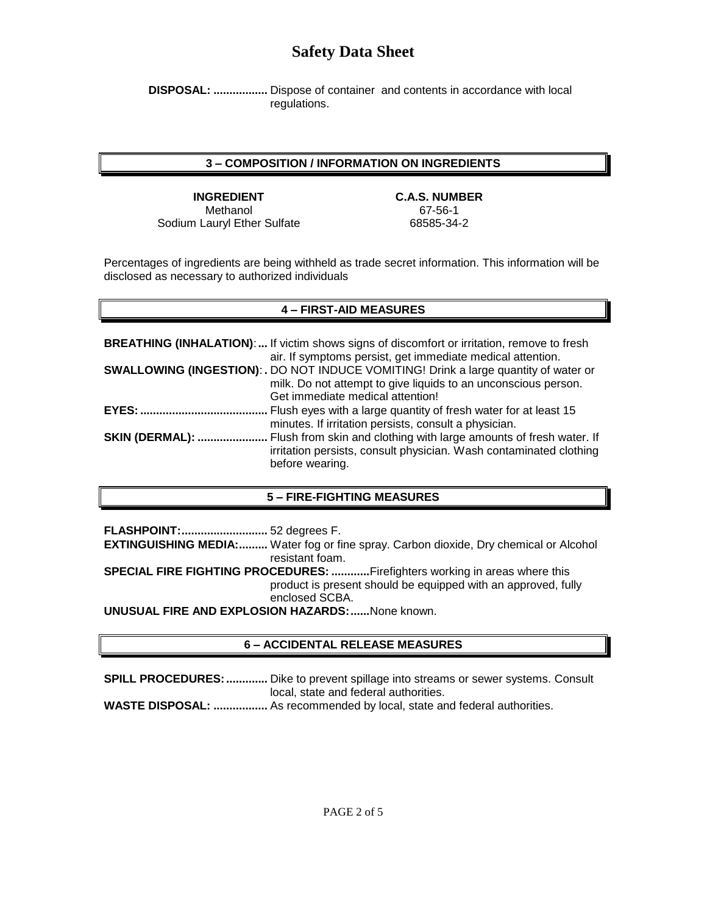**DISPOSAL: .................** Dispose of container and contents in accordance with local regulations.

#### **3 – COMPOSITION / INFORMATION ON INGREDIENTS**

**INGREDIENT C.A.S. NUMBER** Methanol 67-56-1 Sodium Lauryl Ether Sulfate 68585-34-2

Percentages of ingredients are being withheld as trade secret information. This information will be disclosed as necessary to authorized individuals

## **4 – FIRST-AID MEASURES**

**BREATHING (INHALATION)**:**...** If victim shows signs of discomfort or irritation, remove to fresh air. If symptoms persist, get immediate medical attention. **SWALLOWING (INGESTION)**: **.** DO NOT INDUCE VOMITING! Drink a large quantity of water or milk. Do not attempt to give liquids to an unconscious person. Get immediate medical attention! **EYES:........................................** Flush eyes with a large quantity of fresh water for at least 15 minutes. If irritation persists, consult a physician. **SKIN (DERMAL): ......................** Flush from skin and clothing with large amounts of fresh water. If irritation persists, consult physician. Wash contaminated clothing before wearing.

## **5 – FIRE-FIGHTING MEASURES**

**FLASHPOINT:...........................** 52 degrees F. **EXTINGUISHING MEDIA:.........** Water fog or fine spray. Carbon dioxide, Dry chemical or Alcohol resistant foam. **SPECIAL FIRE FIGHTING PROCEDURES: ............**Firefighters working in areas where this product is present should be equipped with an approved, fully enclosed SCBA. **UNUSUAL FIRE AND EXPLOSION HAZARDS:......**None known.

## **6 – ACCIDENTAL RELEASE MEASURES**

**SPILL PROCEDURES:.............** Dike to prevent spillage into streams or sewer systems. Consult local, state and federal authorities.

**WASTE DISPOSAL: .................** As recommended by local, state and federal authorities.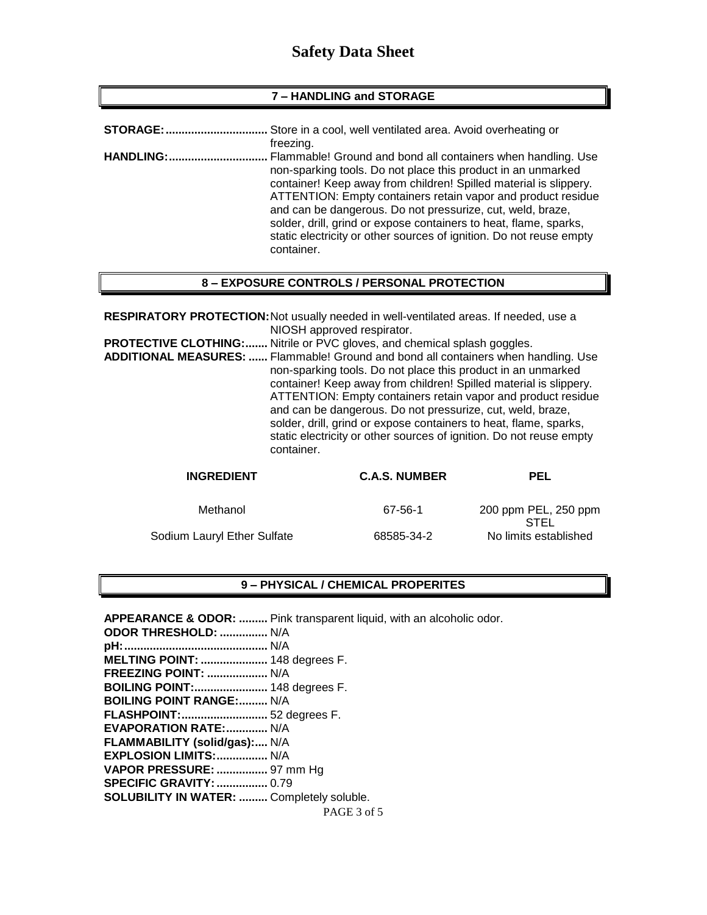#### **7 – HANDLING and STORAGE**

| <b>STORAGE:</b>   | Store in a cool, well ventilated area. Avoid overheating or<br>freezing.                                                                                                                                                                                                                                                                                                                                                                                                                  |
|-------------------|-------------------------------------------------------------------------------------------------------------------------------------------------------------------------------------------------------------------------------------------------------------------------------------------------------------------------------------------------------------------------------------------------------------------------------------------------------------------------------------------|
| <b>HANDLING:.</b> | Flammable! Ground and bond all containers when handling. Use<br>non-sparking tools. Do not place this product in an unmarked<br>container! Keep away from children! Spilled material is slippery.<br>ATTENTION: Empty containers retain vapor and product residue<br>and can be dangerous. Do not pressurize, cut, weld, braze,<br>solder, drill, grind or expose containers to heat, flame, sparks,<br>static electricity or other sources of ignition. Do not reuse empty<br>container. |
|                   |                                                                                                                                                                                                                                                                                                                                                                                                                                                                                           |

#### **8 – EXPOSURE CONTROLS / PERSONAL PROTECTION**

**RESPIRATORY PROTECTION:**Not usually needed in well-ventilated areas. If needed, use a NIOSH approved respirator. **PROTECTIVE CLOTHING:.......** Nitrile or PVC gloves, and chemical splash goggles. **ADDITIONAL MEASURES: ......** Flammable! Ground and bond all containers when handling. Use non-sparking tools. Do not place this product in an unmarked container! Keep away from children! Spilled material is slippery. ATTENTION: Empty containers retain vapor and product residue and can be dangerous. Do not pressurize, cut, weld, braze, solder, drill, grind or expose containers to heat, flame, sparks, static electricity or other sources of ignition. Do not reuse empty container.

| <b>INGREDIENT</b>           | <b>C.A.S. NUMBER</b> | <b>PEL</b>                          |
|-----------------------------|----------------------|-------------------------------------|
| Methanol                    | 67-56-1              | 200 ppm PEL, 250 ppm<br><b>STEL</b> |
| Sodium Lauryl Ether Sulfate | 68585-34-2           | No limits established               |

## **9 – PHYSICAL / CHEMICAL PROPERITES**

PAGE 3 of 5 **APPEARANCE & ODOR: .........** Pink transparent liquid, with an alcoholic odor. **ODOR THRESHOLD: ...............** N/A **pH:.............................................** N/A **MELTING POINT: .....................** 148 degrees F. **FREEZING POINT: ...................** N/A **BOILING POINT:.......................** 148 degrees F. **BOILING POINT RANGE:.........** N/A **FLASHPOINT:...........................** 52 degrees F. **EVAPORATION RATE:.............** N/A **FLAMMABILITY (solid/gas):....** N/A **EXPLOSION LIMITS:................** N/A **VAPOR PRESSURE: ................** 97 mm Hg **SPECIFIC GRAVITY:................** 0.79 **SOLUBILITY IN WATER: .........** Completely soluble.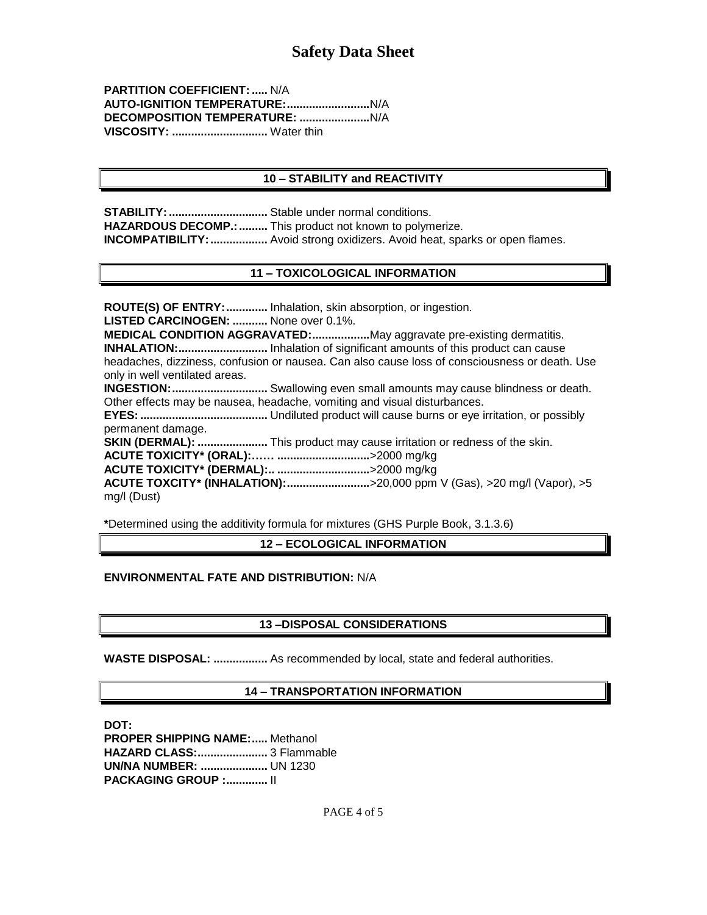**PARTITION COEFFICIENT: .....** N/A **AUTO-IGNITION TEMPERATURE:..........................**N/A **DECOMPOSITION TEMPERATURE: ......................**N/A **VISCOSITY: ..............................** Water thin

#### **10 – STABILITY and REACTIVITY**

**STABILITY:...............................** Stable under normal conditions. **HAZARDOUS DECOMP.:.........** This product not known to polymerize. **INCOMPATIBILITY:..................** Avoid strong oxidizers. Avoid heat, sparks or open flames.

## **11 – TOXICOLOGICAL INFORMATION**

**ROUTE(S) OF ENTRY:.............** Inhalation, skin absorption, or ingestion. **LISTED CARCINOGEN: ...........** None over 0.1%. **MEDICAL CONDITION AGGRAVATED:..................**May aggravate pre-existing dermatitis. **INHALATION:............................** Inhalation of significant amounts of this product can cause headaches, dizziness, confusion or nausea. Can also cause loss of consciousness or death. Use only in well ventilated areas. **INGESTION:..............................** Swallowing even small amounts may cause blindness or death. Other effects may be nausea, headache, vomiting and visual disturbances. **EYES:........................................** Undiluted product will cause burns or eye irritation, or possibly permanent damage. **SKIN (DERMAL): ......................** This product may cause irritation or redness of the skin. **ACUTE TOXICITY\* (ORAL):…… .............................**>2000 mg/kg **ACUTE TOXICITY\* (DERMAL):.. .............................**>2000 mg/kg **ACUTE TOXCITY\* (INHALATION):..........................**>20,000 ppm V (Gas), >20 mg/l (Vapor), >5 mg/l (Dust)

**\***Determined using the additivity formula for mixtures (GHS Purple Book, 3.1.3.6)

**12 – ECOLOGICAL INFORMATION**

**ENVIRONMENTAL FATE AND DISTRIBUTION:** N/A

## **13 –DISPOSAL CONSIDERATIONS**

**WASTE DISPOSAL: .................** As recommended by local, state and federal authorities.

## **14 – TRANSPORTATION INFORMATION**

**DOT: PROPER SHIPPING NAME:.....** Methanol **HAZARD CLASS:......................** 3 Flammable **UN/NA NUMBER: .....................** UN 1230 **PACKAGING GROUP :.............** II